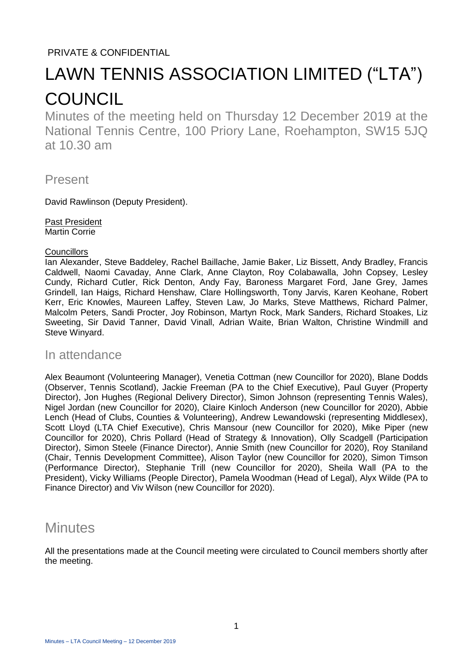## PRIVATE & CONFIDENTIAL

# LAWN TENNIS ASSOCIATION LIMITED ("LTA") **COUNCIL**

Minutes of the meeting held on Thursday 12 December 2019 at the National Tennis Centre, 100 Priory Lane, Roehampton, SW15 5JQ at 10.30 am

Present

David Rawlinson (Deputy President).

Past President Martin Corrie

#### **Councillors**

Ian Alexander, Steve Baddeley, Rachel Baillache, Jamie Baker, Liz Bissett, Andy Bradley, Francis Caldwell, Naomi Cavaday, Anne Clark, Anne Clayton, Roy Colabawalla, John Copsey, Lesley Cundy, Richard Cutler, Rick Denton, Andy Fay, Baroness Margaret Ford, Jane Grey, James Grindell, Ian Haigs, Richard Henshaw, Clare Hollingsworth, Tony Jarvis, Karen Keohane, Robert Kerr, Eric Knowles, Maureen Laffey, Steven Law, Jo Marks, Steve Matthews, Richard Palmer, Malcolm Peters, Sandi Procter, Joy Robinson, Martyn Rock, Mark Sanders, Richard Stoakes, Liz Sweeting, Sir David Tanner, David Vinall, Adrian Waite, Brian Walton, Christine Windmill and Steve Winyard.

### In attendance

Alex Beaumont (Volunteering Manager), Venetia Cottman (new Councillor for 2020), Blane Dodds (Observer, Tennis Scotland), Jackie Freeman (PA to the Chief Executive), Paul Guyer (Property Director), Jon Hughes (Regional Delivery Director), Simon Johnson (representing Tennis Wales), Nigel Jordan (new Councillor for 2020), Claire Kinloch Anderson (new Councillor for 2020), Abbie Lench (Head of Clubs, Counties & Volunteering), Andrew Lewandowski (representing Middlesex), Scott Lloyd (LTA Chief Executive), Chris Mansour (new Councillor for 2020), Mike Piper (new Councillor for 2020), Chris Pollard (Head of Strategy & Innovation), Olly Scadgell (Participation Director), Simon Steele (Finance Director), Annie Smith (new Councillor for 2020), Roy Staniland (Chair, Tennis Development Committee), Alison Taylor (new Councillor for 2020), Simon Timson (Performance Director), Stephanie Trill (new Councillor for 2020), Sheila Wall (PA to the President), Vicky Williams (People Director), Pamela Woodman (Head of Legal), Alyx Wilde (PA to Finance Director) and Viv Wilson (new Councillor for 2020).

# **Minutes**

All the presentations made at the Council meeting were circulated to Council members shortly after the meeting.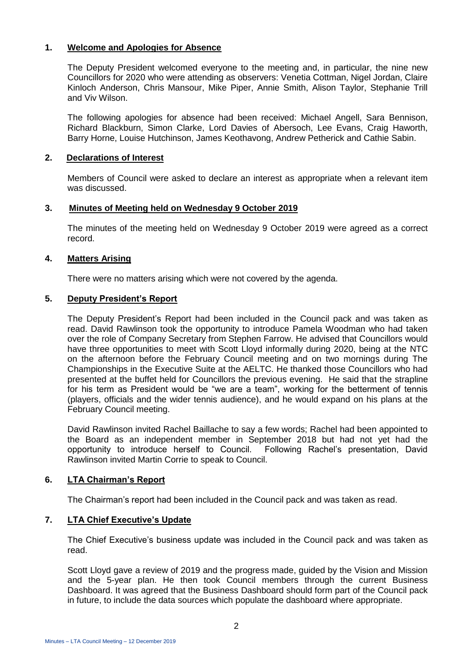#### **1. Welcome and Apologies for Absence**

The Deputy President welcomed everyone to the meeting and, in particular, the nine new Councillors for 2020 who were attending as observers: Venetia Cottman, Nigel Jordan, Claire Kinloch Anderson, Chris Mansour, Mike Piper, Annie Smith, Alison Taylor, Stephanie Trill and Viv Wilson.

The following apologies for absence had been received: Michael Angell, Sara Bennison, Richard Blackburn, Simon Clarke, Lord Davies of Abersoch, Lee Evans, Craig Haworth, Barry Horne, Louise Hutchinson, James Keothavong, Andrew Petherick and Cathie Sabin.

#### **2. Declarations of Interest**

Members of Council were asked to declare an interest as appropriate when a relevant item was discussed.

#### **3. Minutes of Meeting held on Wednesday 9 October 2019**

The minutes of the meeting held on Wednesday 9 October 2019 were agreed as a correct record.

#### **4. Matters Arising**

There were no matters arising which were not covered by the agenda.

#### **5. Deputy President's Report**

The Deputy President's Report had been included in the Council pack and was taken as read. David Rawlinson took the opportunity to introduce Pamela Woodman who had taken over the role of Company Secretary from Stephen Farrow. He advised that Councillors would have three opportunities to meet with Scott Lloyd informally during 2020, being at the NTC on the afternoon before the February Council meeting and on two mornings during The Championships in the Executive Suite at the AELTC. He thanked those Councillors who had presented at the buffet held for Councillors the previous evening. He said that the strapline for his term as President would be "we are a team", working for the betterment of tennis (players, officials and the wider tennis audience), and he would expand on his plans at the February Council meeting.

David Rawlinson invited Rachel Baillache to say a few words; Rachel had been appointed to the Board as an independent member in September 2018 but had not yet had the opportunity to introduce herself to Council. Following Rachel's presentation, David Rawlinson invited Martin Corrie to speak to Council.

#### **6. LTA Chairman's Report**

The Chairman's report had been included in the Council pack and was taken as read.

#### **7. LTA Chief Executive's Update**

The Chief Executive's business update was included in the Council pack and was taken as read.

Scott Lloyd gave a review of 2019 and the progress made, guided by the Vision and Mission and the 5-year plan. He then took Council members through the current Business Dashboard. It was agreed that the Business Dashboard should form part of the Council pack in future, to include the data sources which populate the dashboard where appropriate.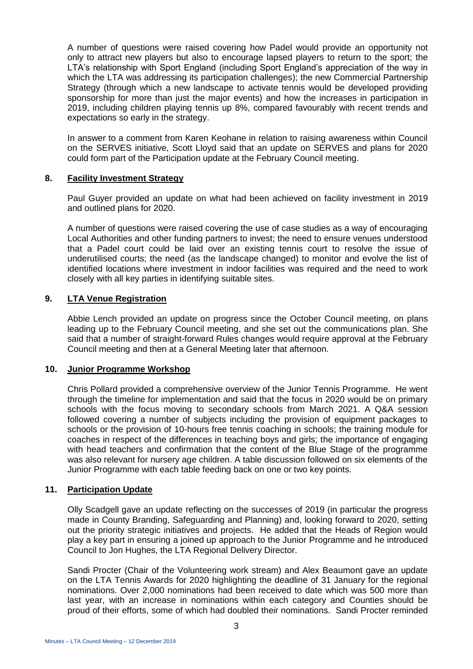A number of questions were raised covering how Padel would provide an opportunity not only to attract new players but also to encourage lapsed players to return to the sport; the LTA's relationship with Sport England (including Sport England's appreciation of the way in which the LTA was addressing its participation challenges); the new Commercial Partnership Strategy (through which a new landscape to activate tennis would be developed providing sponsorship for more than just the major events) and how the increases in participation in 2019, including children playing tennis up 8%, compared favourably with recent trends and expectations so early in the strategy.

In answer to a comment from Karen Keohane in relation to raising awareness within Council on the SERVES initiative, Scott Lloyd said that an update on SERVES and plans for 2020 could form part of the Participation update at the February Council meeting.

#### **8. Facility Investment Strategy**

Paul Guyer provided an update on what had been achieved on facility investment in 2019 and outlined plans for 2020.

A number of questions were raised covering the use of case studies as a way of encouraging Local Authorities and other funding partners to invest; the need to ensure venues understood that a Padel court could be laid over an existing tennis court to resolve the issue of underutilised courts; the need (as the landscape changed) to monitor and evolve the list of identified locations where investment in indoor facilities was required and the need to work closely with all key parties in identifying suitable sites.

#### **9. LTA Venue Registration**

Abbie Lench provided an update on progress since the October Council meeting, on plans leading up to the February Council meeting, and she set out the communications plan. She said that a number of straight-forward Rules changes would require approval at the February Council meeting and then at a General Meeting later that afternoon.

#### **10. Junior Programme Workshop**

Chris Pollard provided a comprehensive overview of the Junior Tennis Programme. He went through the timeline for implementation and said that the focus in 2020 would be on primary schools with the focus moving to secondary schools from March 2021. A Q&A session followed covering a number of subjects including the provision of equipment packages to schools or the provision of 10-hours free tennis coaching in schools; the training module for coaches in respect of the differences in teaching boys and girls; the importance of engaging with head teachers and confirmation that the content of the Blue Stage of the programme was also relevant for nursery age children. A table discussion followed on six elements of the Junior Programme with each table feeding back on one or two key points.

#### **11. Participation Update**

Olly Scadgell gave an update reflecting on the successes of 2019 (in particular the progress made in County Branding, Safeguarding and Planning) and, looking forward to 2020, setting out the priority strategic initiatives and projects. He added that the Heads of Region would play a key part in ensuring a joined up approach to the Junior Programme and he introduced Council to Jon Hughes, the LTA Regional Delivery Director.

Sandi Procter (Chair of the Volunteering work stream) and Alex Beaumont gave an update on the LTA Tennis Awards for 2020 highlighting the deadline of 31 January for the regional nominations. Over 2,000 nominations had been received to date which was 500 more than last year, with an increase in nominations within each category and Counties should be proud of their efforts, some of which had doubled their nominations. Sandi Procter reminded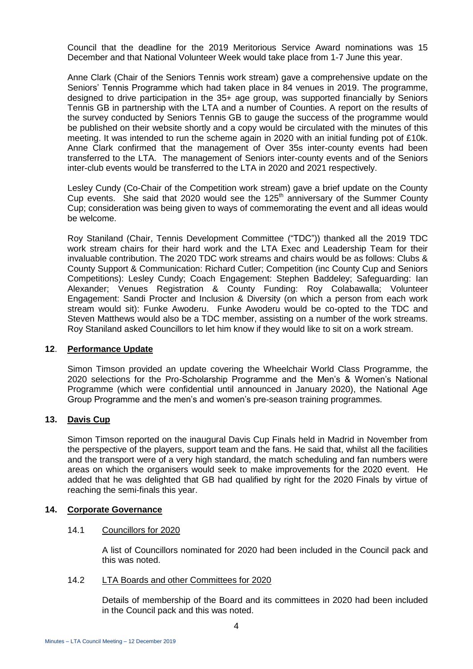Council that the deadline for the 2019 Meritorious Service Award nominations was 15 December and that National Volunteer Week would take place from 1-7 June this year.

Anne Clark (Chair of the Seniors Tennis work stream) gave a comprehensive update on the Seniors' Tennis Programme which had taken place in 84 venues in 2019. The programme, designed to drive participation in the 35+ age group, was supported financially by Seniors Tennis GB in partnership with the LTA and a number of Counties. A report on the results of the survey conducted by Seniors Tennis GB to gauge the success of the programme would be published on their website shortly and a copy would be circulated with the minutes of this meeting. It was intended to run the scheme again in 2020 with an initial funding pot of £10k. Anne Clark confirmed that the management of Over 35s inter-county events had been transferred to the LTA. The management of Seniors inter-county events and of the Seniors inter-club events would be transferred to the LTA in 2020 and 2021 respectively.

Lesley Cundy (Co-Chair of the Competition work stream) gave a brief update on the County Cup events. She said that 2020 would see the  $125<sup>th</sup>$  anniversary of the Summer County Cup; consideration was being given to ways of commemorating the event and all ideas would be welcome.

Roy Staniland (Chair, Tennis Development Committee ("TDC")) thanked all the 2019 TDC work stream chairs for their hard work and the LTA Exec and Leadership Team for their invaluable contribution. The 2020 TDC work streams and chairs would be as follows: Clubs & County Support & Communication: Richard Cutler; Competition (inc County Cup and Seniors Competitions): Lesley Cundy; Coach Engagement: Stephen Baddeley; Safeguarding: Ian Alexander; Venues Registration & County Funding: Roy Colabawalla; Volunteer Engagement: Sandi Procter and Inclusion & Diversity (on which a person from each work stream would sit): Funke Awoderu. Funke Awoderu would be co-opted to the TDC and Steven Matthews would also be a TDC member, assisting on a number of the work streams. Roy Staniland asked Councillors to let him know if they would like to sit on a work stream.

#### **12**. **Performance Update**

Simon Timson provided an update covering the Wheelchair World Class Programme, the 2020 selections for the Pro-Scholarship Programme and the Men's & Women's National Programme (which were confidential until announced in January 2020), the National Age Group Programme and the men's and women's pre-season training programmes.

#### **13. Davis Cup**

Simon Timson reported on the inaugural Davis Cup Finals held in Madrid in November from the perspective of the players, support team and the fans. He said that, whilst all the facilities and the transport were of a very high standard, the match scheduling and fan numbers were areas on which the organisers would seek to make improvements for the 2020 event. He added that he was delighted that GB had qualified by right for the 2020 Finals by virtue of reaching the semi-finals this year.

#### **14. Corporate Governance**

#### 14.1 Councillors for 2020

A list of Councillors nominated for 2020 had been included in the Council pack and this was noted.

#### 14.2 LTA Boards and other Committees for 2020

Details of membership of the Board and its committees in 2020 had been included in the Council pack and this was noted.